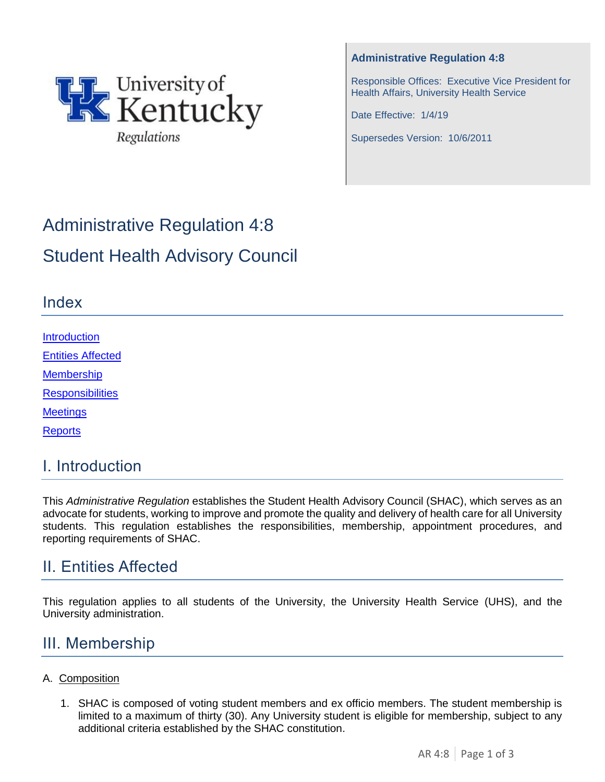

#### **Administrative Regulation 4:8**

Responsible Offices: Executive Vice President for Health Affairs, University Health Service

Date Effective: 1/4/19

Supersedes Version: 10/6/2011

# Administrative Regulation 4:8 Student Health Advisory Council

### Index

[Introduction](#page-0-0) [Entities Affected](#page-0-1) **[Membership](#page-0-2) [Responsibilities](#page-1-0)** 

**[Meetings](#page-2-0)** 

**[Reports](#page-2-1)** 

### <span id="page-0-0"></span>I. Introduction

This *Administrative Regulation* establishes the Student Health Advisory Council (SHAC), which serves as an advocate for students, working to improve and promote the quality and delivery of health care for all University students. This regulation establishes the responsibilities, membership, appointment procedures, and reporting requirements of SHAC.

### <span id="page-0-1"></span>II. Entities Affected

This regulation applies to all students of the University, the University Health Service (UHS), and the University administration.

### <span id="page-0-2"></span>III. Membership

#### A. Composition

1. SHAC is composed of voting student members and ex officio members. The student membership is limited to a maximum of thirty (30). Any University student is eligible for membership, subject to any additional criteria established by the SHAC constitution.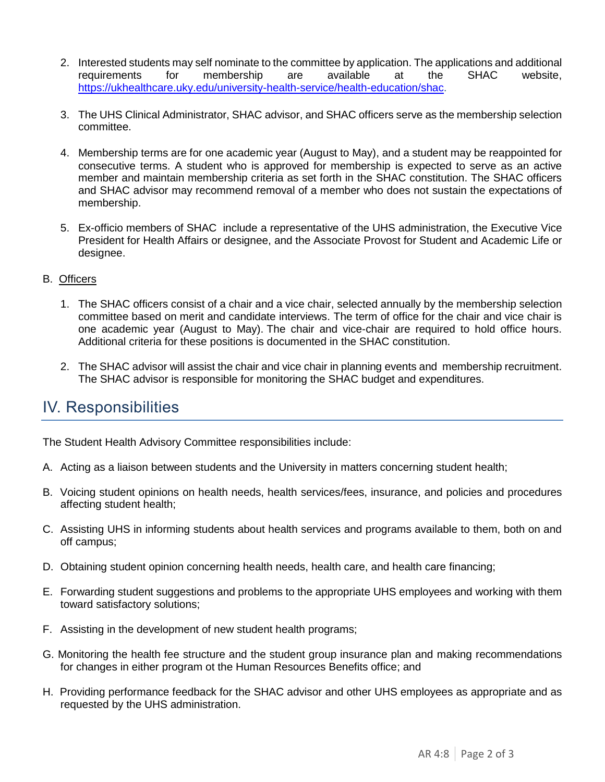- 2. Interested students may self nominate to the committee by application. The applications and additional requirements for membership are available at the SHAC website, <https://ukhealthcare.uky.edu/university-health-service/health-education/shac>.
- 3. The UHS Clinical Administrator, SHAC advisor, and SHAC officers serve as the membership selection committee.
- 4. Membership terms are for one academic year (August to May), and a student may be reappointed for consecutive terms. A student who is approved for membership is expected to serve as an active member and maintain membership criteria as set forth in the SHAC constitution. The SHAC officers and SHAC advisor may recommend removal of a member who does not sustain the expectations of membership.
- 5. Ex-officio members of SHAC include a representative of the UHS administration, the Executive Vice President for Health Affairs or designee, and the Associate Provost for Student and Academic Life or designee.

#### B. Officers

- 1. The SHAC officers consist of a chair and a vice chair, selected annually by the membership selection committee based on merit and candidate interviews. The term of office for the chair and vice chair is one academic year (August to May). The chair and vice-chair are required to hold office hours. Additional criteria for these positions is documented in the SHAC constitution.
- 2. The SHAC advisor will assist the chair and vice chair in planning events and membership recruitment. The SHAC advisor is responsible for monitoring the SHAC budget and expenditures.

### <span id="page-1-0"></span>IV. Responsibilities

The Student Health Advisory Committee responsibilities include:

- A. Acting as a liaison between students and the University in matters concerning student health;
- B. Voicing student opinions on health needs, health services/fees, insurance, and policies and procedures affecting student health;
- C. Assisting UHS in informing students about health services and programs available to them, both on and off campus;
- D. Obtaining student opinion concerning health needs, health care, and health care financing;
- E. Forwarding student suggestions and problems to the appropriate UHS employees and working with them toward satisfactory solutions;
- F. Assisting in the development of new student health programs;
- G. Monitoring the health fee structure and the student group insurance plan and making recommendations for changes in either program ot the Human Resources Benefits office; and
- H. Providing performance feedback for the SHAC advisor and other UHS employees as appropriate and as requested by the UHS administration.